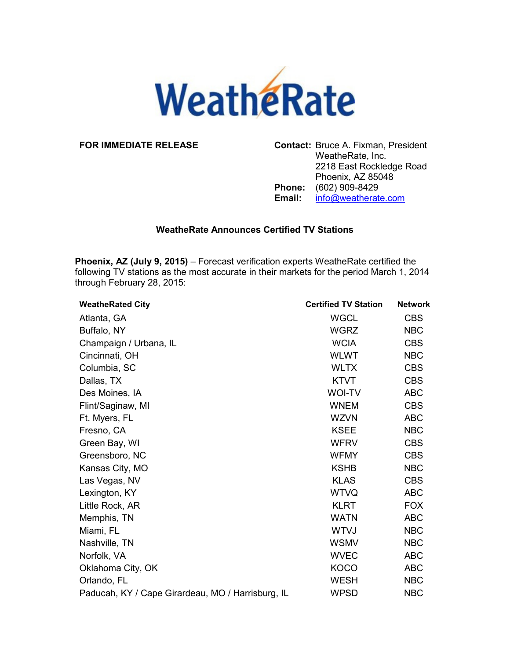

**FOR IMMEDIATE RELEASE Contact:** Bruce A. Fixman, President WeatheRate, Inc. 2218 East Rockledge Road Phoenix, AZ 85048 **Phone:** (602) 909-8429<br>**Email:** info@weatherat **Email:** info@weatherate.com

## **WeatheRate Announces Certified TV Stations**

**Phoenix, AZ (July 9, 2015)** – Forecast verification experts WeatheRate certified the following TV stations as the most accurate in their markets for the period March 1, 2014 through February 28, 2015:

| <b>WeatheRated City</b>                           | <b>Certified TV Station</b> | <b>Network</b> |
|---------------------------------------------------|-----------------------------|----------------|
| Atlanta, GA                                       | <b>WGCL</b>                 | <b>CBS</b>     |
| Buffalo, NY                                       | <b>WGRZ</b>                 | <b>NBC</b>     |
| Champaign / Urbana, IL                            | <b>WCIA</b>                 | <b>CBS</b>     |
| Cincinnati, OH                                    | <b>WLWT</b>                 | <b>NBC</b>     |
| Columbia, SC                                      | <b>WLTX</b>                 | <b>CBS</b>     |
| Dallas, TX                                        | <b>KTVT</b>                 | <b>CBS</b>     |
| Des Moines, IA                                    | <b>WOI-TV</b>               | <b>ABC</b>     |
| Flint/Saginaw, MI                                 | <b>WNEM</b>                 | <b>CBS</b>     |
| Ft. Myers, FL                                     | <b>WZVN</b>                 | <b>ABC</b>     |
| Fresno, CA                                        | <b>KSEE</b>                 | <b>NBC</b>     |
| Green Bay, WI                                     | <b>WFRV</b>                 | <b>CBS</b>     |
| Greensboro, NC                                    | <b>WFMY</b>                 | <b>CBS</b>     |
| Kansas City, MO                                   | <b>KSHB</b>                 | <b>NBC</b>     |
| Las Vegas, NV                                     | <b>KLAS</b>                 | <b>CBS</b>     |
| Lexington, KY                                     | <b>WTVQ</b>                 | <b>ABC</b>     |
| Little Rock, AR                                   | <b>KLRT</b>                 | <b>FOX</b>     |
| Memphis, TN                                       | <b>WATN</b>                 | <b>ABC</b>     |
| Miami, FL                                         | <b>WTVJ</b>                 | <b>NBC</b>     |
| Nashville, TN                                     | <b>WSMV</b>                 | <b>NBC</b>     |
| Norfolk, VA                                       | <b>WVEC</b>                 | <b>ABC</b>     |
| Oklahoma City, OK                                 | <b>KOCO</b>                 | <b>ABC</b>     |
| Orlando, FL                                       | <b>WESH</b>                 | <b>NBC</b>     |
| Paducah, KY / Cape Girardeau, MO / Harrisburg, IL | <b>WPSD</b>                 | <b>NBC</b>     |